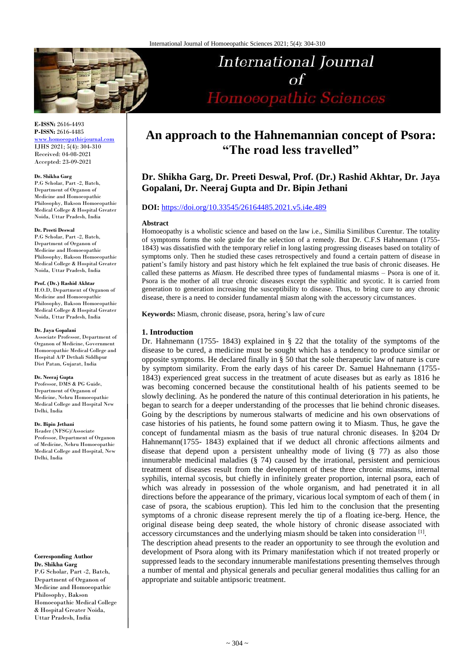

# **International Journal**  $\sigma$ f Homoeopathic Sciences

**E-ISSN:** 2616-4493 **P-ISSN:** 2616-4485

[www.homoeopathicjournal.com](file://Server/test/homoeopathicjournal/issue/vol%204/issue%201/www.homoeopathicjournal.com) IJHS 2021; 5(4): 304-310 Received: 04-08-2021 Accepted: 23-09-2021

#### **Dr. Shikha Garg**

P.G Scholar, Part -2, Batch, Department of Organon of Medicine and Homoeopathic Philosophy, Bakson Homoeopathic Medical College & Hospital Greater Noida, Uttar Pradesh, India

#### **Dr. Preeti Deswal**

P.G Scholar, Part -2, Batch, Department of Organon of Medicine and Homoeopathic Philosophy, Bakson Homoeopathic Medical College & Hospital Greater Noida, Uttar Pradesh, India

#### **Prof. (Dr.) Rashid Akhtar**

H.O.D, Department of Organon of Medicine and Homoeopathic Philosophy, Bakson Homoeopathic Medical College & Hospital Greater Noida, Uttar Pradesh, India

#### **Dr. Jaya Gopalani**

Associate Professor, Department of Organon of Medicine, Government Homoeopathic Medical College and Hospital A/P Dethali Siddhpur Dist Patan, Gujarat, India

#### **Dr. Neeraj Gupta**

Professor, DMS & PG Guide, Department of Organon of Medicine, Nehru Homoeopathic Medical College and Hospital New Delhi, India

#### **Dr. Bipin Jethani**

Reader (NFSG)/Associate Professor, Department of Organon of Medicine, Nehru Homoeopathic Medical College and Hospital, New Delhi, India

#### **Corresponding Author Dr. Shikha Garg**

P.G Scholar, Part -2, Batch, Department of Organon of Medicine and Homoeopathic Philosophy, Bakson Homoeopathic Medical College & Hospital Greater Noida, Uttar Pradesh, India

## **An approach to the Hahnemannian concept of Psora: "The road less travelled"**

## **Dr. Shikha Garg, Dr. Preeti Deswal, Prof. (Dr.) Rashid Akhtar, Dr. Jaya Gopalani, Dr. Neeraj Gupta and Dr. Bipin Jethani**

## **DOI:** <https://doi.org/10.33545/26164485.2021.v5.i4e.489>

#### **Abstract**

Homoeopathy is a wholistic science and based on the law i.e., Similia Similibus Curentur. The totality of symptoms forms the sole guide for the selection of a remedy. But Dr. C.F.S Hahnemann (1755- 1843) was dissatisfied with the temporary relief in long lasting progressing diseases based on totality of symptoms only. Then he studied these cases retrospectively and found a certain pattern of disease in patient's family history and past history *w*hich he felt explained the true basis of chronic diseases. He called these patterns as *Miasm*. He described three types of fundamental miasms – Psora is one of it. Psora is the mother of all true chronic diseases except the syphilitic and sycotic. It is carried from generation to generation increasing the susceptibility to disease. Thus, to bring cure to any chronic disease, there is a need to consider fundamental miasm along with the accessory circumstances.

**Keywords:** Miasm, chronic disease, psora, hering's law of cure

#### **1. Introduction**

Dr. Hahnemann (1755- 1843) explained in § 22 that the totality of the symptoms of the disease to be cured, a medicine must be sought which has a tendency to produce similar or opposite symptoms. He declared finally in § 50 that the sole therapeutic law of nature is cure by symptom similarity. From the early days of his career Dr. Samuel Hahnemann (1755- 1843) experienced great success in the treatment of acute diseases but as early as 1816 he was becoming concerned because the constitutional health of his patients seemed to be slowly declining. As he pondered the nature of this continual deterioration in his patients, he began to search for a deeper understanding of the processes that lie behind chronic diseases. Going by the descriptions by numerous stalwarts of medicine and his own observations of case histories of his patients, he found some pattern owing it to Miasm. Thus, he gave the concept of fundamental miasm as the basis of true natural chronic diseases. In §204 Dr Hahnemann(1755- 1843) explained that if we deduct all chronic affections ailments and disease that depend upon a persistent unhealthy mode of living (§ 77) as also those innumerable medicinal maladies  $(\frac{8}{9}$  74) caused by the irrational, persistent and pernicious treatment of diseases result from the development of these three chronic miasms, internal syphilis, internal sycosis, but chiefly in infinitely greater proportion, internal psora, each of which was already in possession of the whole organism, and had penetrated it in all directions before the appearance of the primary, vicarious local symptom of each of them ( in case of psora, the scabious eruption). This led him to the conclusion that the presenting symptoms of a chronic disease represent merely the tip of a floating ice-berg. Hence, the original disease being deep seated, the whole history of chronic disease associated with accessory circumstances and the underlying miasm should be taken into consideration [1].

The description ahead presents to the reader an opportunity to see through the evolution and development of Psora along with its Primary manifestation which if not treated properly or suppressed leads to the secondary innumerable manifestations presenting themselves through a number of mental and physical generals and peculiar general modalities thus calling for an appropriate and suitable antipsoric treatment.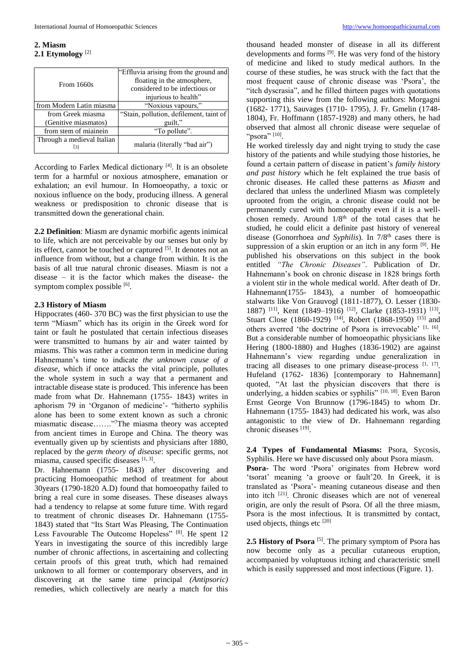#### **2. Miasm 2.1 Etymology** [2]

|                            | "Effluvia arising from the ground and   |
|----------------------------|-----------------------------------------|
| From 1660s                 | floating in the atmosphere,             |
|                            | considered to be infectious or          |
|                            | injurious to health"                    |
| from Modern Latin miasma   | "Noxious vapours,"                      |
| from Greek miasma          | "Stain, pollution, defilement, taint of |
| (Genitive miasmatos)       | guilt."                                 |
| from stem of miainein      | "To pollute".                           |
| Through a medieval Italian | malaria (literally "bad air")           |

According to Farlex Medical dictionary<sup>[4]</sup>. It is an obsolete term for a harmful or noxious atmosphere, emanation or exhalation; an evil humour. In Homoeopathy, a toxic or noxious influence on the body, producing illness. A general weakness or predisposition to chronic disease that is transmitted down the generational chain.

**2.2 Definition**: Miasm are dynamic morbific agents inimical to life, which are not perceivable by our senses but only by its effect, cannot be touched or captured <sup>[5]</sup>. It denotes not an influence from without, but a change from within. It is the basis of all true natural chronic diseases. Miasm is not a disease – it is the factor which makes the disease- the symptom complex possible [6].

#### **2.3 History of Miasm**

Hippocrates (460- 370 BC) was the first physician to use the term "Miasm" which has its origin in the Greek word for taint or fault he postulated that certain infectious diseases were transmitted to humans by air and water tainted by miasms. This was rather a common term in medicine during Hahnemann's time to indicate *the unknown cause of a disease*, which if once attacks the vital principle, pollutes the whole system in such a way that a permanent and intractable disease state is produced. This inference has been made from what Dr. Hahnemann (1755- 1843) writes in aphorism 79 in 'Organon of medicine'- "hitherto syphilis alone has been to some extent known as such a chronic miasmatic disease……."<sup>7</sup>The miasma theory was accepted from ancient times in Europe and China. The theory was eventually given up by scientists and physicians after 1880, replaced by the *germ theory of disease*: specific germs, not miasma, caused specific diseases [1, 3].

Dr. Hahnemann (1755- 1843) after discovering and practicing Homoeopathic method of treatment for about 30years (1790-1820 A.D) found that homoeopathy failed to bring a real cure in some diseases. These diseases always had a tendency to relapse at some future time. With regard to treatment of chronic diseases Dr. Hahnemann (1755- 1843) stated that "Its Start Was Pleasing, The Continuation Less Favourable The Outcome Hopeless" [8]. He spent 12 Years in investigating the source of this incredibly large number of chronic affections, in ascertaining and collecting certain proofs of this great truth, which had remained unknown to all former or contemporary observers, and in discovering at the same time principal *(Antipsoric)* remedies, which collectively are nearly a match for this

thousand headed monster of disease in all its different developments and forms <sup>[9]</sup>. He was very fond of the history of medicine and liked to study medical authors. In the course of these studies, he was struck with the fact that the most frequent cause of chronic disease was 'Psora', the "itch dyscrasia", and he filled thirteen pages with quotations supporting this view from the following authors: Morgagni (1682- 1771), Sauvages (1710- 1795), J. Fr. Gmelin (1748- 1804), Fr. Hoffmann (1857-1928) and many others, he had observed that almost all chronic disease were sequelae of "psora"<sup>[10]</sup>.

He worked tirelessly day and night trying to study the case history of the patients and while studying those histories, he found a certain pattern of disease in patient's *family history and past history* which he felt explained the true basis of chronic diseases. He called these patterns as *Miasm* and declared that unless the underlined Miasm was completely uprooted from the origin, a chronic disease could not be permanently cured with homoeopathy even if it is a wellchosen remedy. Around  $1/8<sup>th</sup>$  of the total cases that he studied, he could elicit a definite past history of venereal disease (Gonorrhoea *and Syphilis*). In 7/8<sup>th</sup> cases there is suppression of a skin eruption or an itch in any form <sup>[9]</sup>. He published his observations on this subject in the book entitled *"The Chronic Diseases"*. Publication of Dr. Hahnemann's book on chronic disease in 1828 brings forth a violent stir in the whole medical world. After death of Dr. Hahnemann(1755- 1843), a number of homoeopathic stalwarts like Von Grauvogl (1811-1877), O. Lesser (1830- 1887)<sup>[11]</sup>, Kent (1849–1916)<sup>[12]</sup>, Clarke (1853-1931)<sup>[13]</sup>, Stuart Close (1860-1929)<sup>[14]</sup>, Robert (1868-1950)<sup>[15]</sup> and others averred 'the doctrine of Psora is irrevocable' [1, 16]. But a considerable number of homoeopathic physicians like Hering (1800-1880) and Hughes (1836-1902) are against Hahnemann's view regarding undue generalization in tracing all diseases to one primary disease-process  $[1, 17]$ . Hufeland (1762- 1836) [contemporary to Hahnemann] quoted, "At last the physician discovers that there is underlying, a hidden scabies or syphilis" [10, 18]. Even Baron Ernst George Von Brunnow (1796-1845) to whom Dr. Hahnemann (1755- 1843) had dedicated his work, was also antagonistic to the view of Dr. Hahnemann regarding chronic diseases [19].

**2.4 Types of Fundamental Miasms:** Psora, Sycosis, Syphilis. Here we have discussed only about Psora miasm. **Psora-** The word 'Psora' originates from Hebrew word 'tsorat' meaning 'a groove or fault'20. In Greek, it is translated as 'Psora'- meaning cutaneous disease and then into itch [21]. Chronic diseases which are not of venereal origin, are only the result of Psora. Of all the three miasm, Psora is the most infectious. It is transmitted by contact, used objects, things etc  $[20]$ 

2.5 History of Psora<sup>[5]</sup>. The primary symptom of Psora has now become only as a peculiar cutaneous eruption, accompanied by voluptuous itching and characteristic smell which is easily suppressed and most infectious (Figure. 1).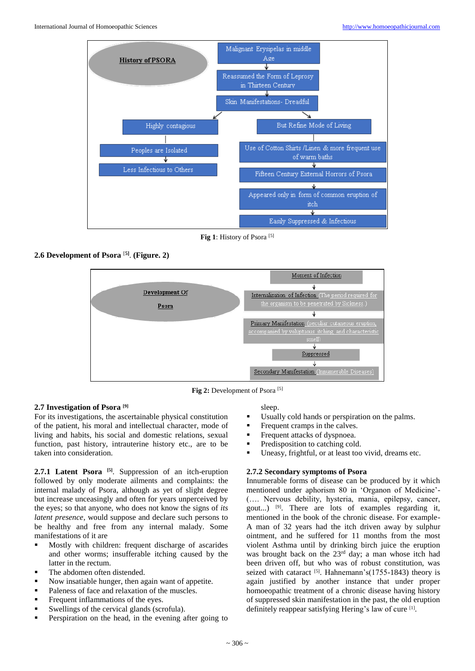

**Fig 1**: History of Psora [5]

## **2.6 Development of Psora** [**5]** . **(Figure. 2)**



Fig 2: Development of Psora<sup>[5]</sup>

## **2.7 Investigation of Psora [9]**

For its investigations, the ascertainable physical constitution of the patient, his moral and intellectual character, mode of living and habits, his social and domestic relations, sexual function, past history, intrauterine history etc., are to be taken into consideration.

**2.7.1 Latent Psora [5]** . Suppression of an itch-eruption followed by only moderate ailments and complaints: the internal malady of Psora, although as yet of slight degree but increase unceasingly and often for years unperceived by the eyes; so that anyone, who does not know the signs of *its latent presence*, would suppose and declare such persons to be healthy and free from any internal malady. Some manifestations of it are

- Mostly with children: frequent discharge of ascarides and other worms; insufferable itching caused by the latter in the rectum.
- The abdomen often distended.
- Now insatiable hunger, then again want of appetite.
- Paleness of face and relaxation of the muscles.
- Frequent inflammations of the eyes.
- Swellings of the cervical glands (scrofula).
- **Perspiration on the head, in the evening after going to**

sleep.

- Usually cold hands or perspiration on the palms.
- **Figure 1** Frequent cramps in the calves.
- Frequent attacks of dyspnoea.
- Predisposition to catching cold.
- Uneasy, frightful, or at least too vivid, dreams etc.

## **2.7.2 Secondary symptoms of Psora**

Innumerable forms of disease can be produced by it which mentioned under aphorism 80 in 'Organon of Medicine'- (…. Nervous debility, hysteria, mania, epilepsy, cancer, gout...) [9]. There are lots of examples regarding it, mentioned in the book of the chronic disease. For example-A man of 32 years had the itch driven away by sulphur ointment, and he suffered for 11 months from the most violent Asthma until by drinking birch juice the eruption was brought back on the 23<sup>rd</sup> day; a man whose itch had been driven off, but who was of robust constitution, was seized with cataract  $[5]$ . Hahnemann's(1755-1843) theory is again justified by another instance that under proper homoeopathic treatment of a chronic disease having history of suppressed skin manifestation in the past, the old eruption definitely reappear satisfying Hering's law of cure [1] .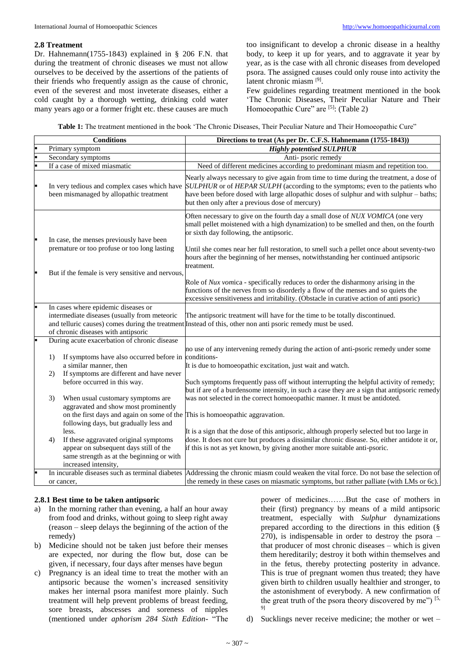#### **2.8 Treatment**

Dr. Hahnemann(1755-1843) explained in § 206 F.N. that during the treatment of chronic diseases we must not allow ourselves to be deceived by the assertions of the patients of their friends who frequently assign as the cause of chronic, even of the severest and most inveterate diseases, either a cold caught by a thorough wetting, drinking cold water many years ago or a former fright etc. these causes are much

too insignificant to develop a chronic disease in a healthy body, to keep it up for years, and to aggravate it year by year, as is the case with all chronic diseases from developed psora. The assigned causes could only rouse into activity the latent chronic miasm [9] .

Few guidelines regarding treatment mentioned in the book 'The Chronic Diseases, Their Peculiar Nature and Their Homoeopathic Cure" are [5]: (Table 2)

Table 1: The treatment mentioned in the book 'The Chronic Diseases, Their Peculiar Nature and Their Homoeopathic Cure"

|    | <b>Conditions</b>                                                                        | Directions to treat (As per Dr. C.F.S. Hahnemann (1755-1843))                                                                                                                                                                                                                                                                                                        |
|----|------------------------------------------------------------------------------------------|----------------------------------------------------------------------------------------------------------------------------------------------------------------------------------------------------------------------------------------------------------------------------------------------------------------------------------------------------------------------|
|    | Primary symptom                                                                          | <b>Highly potentised SULPHUR</b>                                                                                                                                                                                                                                                                                                                                     |
|    | Secondary symptoms                                                                       | Anti-psoric remedy                                                                                                                                                                                                                                                                                                                                                   |
|    | If a case of mixed miasmatic                                                             | Need of different medicines according to predominant miasm and repetition too.                                                                                                                                                                                                                                                                                       |
|    | been mismanaged by allopathic treatment                                                  | Nearly always necessary to give again from time to time during the treatment, a dose of<br>In very tedious and complex cases which have SULPHUR or of HEPAR SULPH (according to the symptoms; even to the patients who<br>have been before dosed with large allopathic doses of sulphur and with sulphur – baths;<br>but then only after a previous dose of mercury) |
|    | In case, the menses previously have been<br>premature or too profuse or too long lasting | Often necessary to give on the fourth day a small dose of NUX VOMICA (one very<br>small pellet moistened with a high dynamization) to be smelled and then, on the fourth<br>or sixth day following, the antipsoric.<br>Until she comes near her full restoration, to smell such a pellet once about seventy-two                                                      |
|    |                                                                                          | hours after the beginning of her menses, notwithstanding her continued antipsoric<br>treatment.                                                                                                                                                                                                                                                                      |
|    | But if the female is very sensitive and nervous,                                         |                                                                                                                                                                                                                                                                                                                                                                      |
|    |                                                                                          | Role of <i>Nux vomica</i> - specifically reduces to order the disharmony arising in the<br>functions of the nerves from so disorderly a flow of the menses and so quiets the<br>excessive sensitiveness and irritability. (Obstacle in curative action of anti psoric)                                                                                               |
|    | In cases where epidemic diseases or                                                      |                                                                                                                                                                                                                                                                                                                                                                      |
|    | intermediate diseases (usually from meteoric                                             | The antipsoric treatment will have for the time to be totally discontinued.                                                                                                                                                                                                                                                                                          |
|    |                                                                                          | and telluric causes) comes during the treatment Instead of this, other non anti psoric remedy must be used.                                                                                                                                                                                                                                                          |
|    | of chronic diseases with antipsoric                                                      |                                                                                                                                                                                                                                                                                                                                                                      |
|    | During acute exacerbation of chronic disease                                             |                                                                                                                                                                                                                                                                                                                                                                      |
|    |                                                                                          | no use of any intervening remedy during the action of anti-psoric remedy under some                                                                                                                                                                                                                                                                                  |
| 1) | If symptoms have also occurred before in conditions-                                     |                                                                                                                                                                                                                                                                                                                                                                      |
|    | a similar manner, then                                                                   | It is due to homoeopathic excitation, just wait and watch.                                                                                                                                                                                                                                                                                                           |
| 2) | If symptoms are different and have never                                                 |                                                                                                                                                                                                                                                                                                                                                                      |
|    | before occurred in this way.                                                             | Such symptoms frequently pass off without interrupting the helpful activity of remedy;<br>but if are of a burdensome intensity, in such a case they are a sign that antipsoric remedy                                                                                                                                                                                |
| 3) | When usual customary symptoms are                                                        | was not selected in the correct homoeopathic manner. It must be antidoted.                                                                                                                                                                                                                                                                                           |
|    | aggravated and show most prominently                                                     |                                                                                                                                                                                                                                                                                                                                                                      |
|    | on the first days and again on some of the This is homoeopathic aggravation.             |                                                                                                                                                                                                                                                                                                                                                                      |
|    | following days, but gradually less and                                                   |                                                                                                                                                                                                                                                                                                                                                                      |
|    | less.                                                                                    | It is a sign that the dose of this antipsoric, although properly selected but too large in                                                                                                                                                                                                                                                                           |
| 4) | If these aggravated original symptoms                                                    | dose. It does not cure but produces a dissimilar chronic disease. So, either antidote it or,                                                                                                                                                                                                                                                                         |
|    | appear on subsequent days still of the                                                   | if this is not as yet known, by giving another more suitable anti-psoric.                                                                                                                                                                                                                                                                                            |
|    | same strength as at the beginning or with                                                |                                                                                                                                                                                                                                                                                                                                                                      |
|    | increased intensity,                                                                     |                                                                                                                                                                                                                                                                                                                                                                      |
|    |                                                                                          | In incurable diseases such as terminal diabetes Addressing the chronic miasm could weaken the vital force. Do not base the selection of                                                                                                                                                                                                                              |
|    | or cancer,                                                                               | the remedy in these cases on miasmatic symptoms, but rather palliate (with LMs or 6c).                                                                                                                                                                                                                                                                               |

#### **2.8.1 Best time to be taken antipsoric**

- a) In the morning rather than evening, a half an hour away from food and drinks, without going to sleep right away (reason – sleep delays the beginning of the action of the remedy)
- b) Medicine should not be taken just before their menses are expected, nor during the flow but, dose can be given, if necessary, four days after menses have begun
- c) Pregnancy is an ideal time to treat the mother with an antipsoric because the women's increased sensitivity makes her internal psora manifest more plainly. Such treatment will help prevent problems of breast feeding, sore breasts, abscesses and soreness of nipples (mentioned under *aphorism 284 Sixth Edition*- "The

power of medicines…….But the case of mothers in their (first) pregnancy by means of a mild antipsoric treatment, especially with *Sulphur* dynamizations prepared according to the directions in this edition (§ 270), is indispensable in order to destroy the psora – that producer of most chronic diseases – which is given them hereditarily; destroy it both within themselves and in the fetus, thereby protecting posterity in advance. This is true of pregnant women thus treated; they have given birth to children usually healthier and stronger, to the astonishment of everybody. A new confirmation of the great truth of the psora theory discovered by me")  $[5, 1]$ 9]

d) Sucklings never receive medicine; the mother or wet –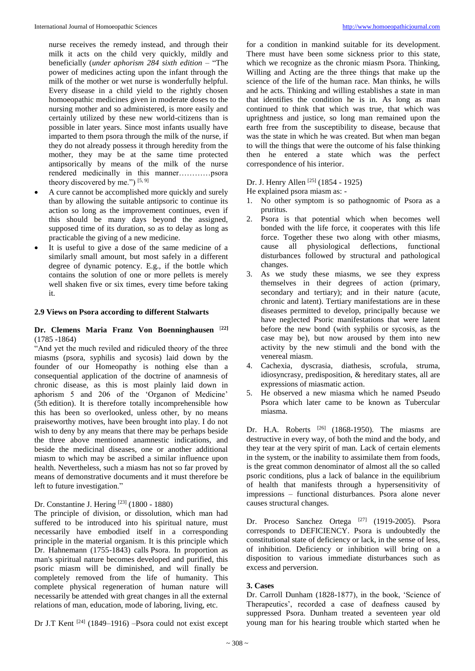nurse receives the remedy instead, and through their milk it acts on the child very quickly, mildly and beneficially (*under aphorism 284 sixth edition* – "The power of medicines acting upon the infant through the milk of the mother or wet nurse is wonderfully helpful. Every disease in a child yield to the rightly chosen homoeopathic medicines given in moderate doses to the nursing mother and so administered, is more easily and certainly utilized by these new world-citizens than is possible in later years. Since most infants usually have imparted to them psora through the milk of the nurse, if they do not already possess it through heredity from the mother, they may be at the same time protected antipsorically by means of the milk of the nurse rendered medicinally in this manner…………psora theory discovered by me.") [5, 9]

- A cure cannot be accomplished more quickly and surely than by allowing the suitable antipsoric to continue its action so long as the improvement continues, even if this should be many days beyond the assigned, supposed time of its duration, so as to delay as long as practicable the giving of a new medicine.
- It is useful to give a dose of the same medicine of a similarly small amount, but most safely in a different degree of dynamic potency. E.g., if the bottle which contains the solution of one or more pellets is merely well shaken five or six times, every time before taking it.

#### **2.9 Views on Psora according to different Stalwarts**

## **Dr. Clemens Maria Franz Von Boenninghausen** [**22]** (1785 -1864)

"And yet the much reviled and ridiculed theory of the three miasms (psora, syphilis and sycosis) laid down by the founder of our Homeopathy is nothing else than a consequential application of the doctrine of anamnesis of chronic disease, as this is most plainly laid down in aphorism 5 and 206 of the 'Organon of Medicine' (5th edition). It is therefore totally incomprehensible how this has been so overlooked, unless other, by no means praiseworthy motives, have been brought into play. I do not wish to deny by any means that there may be perhaps beside the three above mentioned anamnestic indications, and beside the medicinal diseases, one or another additional miasm to which may be ascribed a similar influence upon health. Nevertheless, such a miasm has not so far proved by means of demonstrative documents and it must therefore be left to future investigation."

## Dr. Constantine J. Hering [23] (1800 - 1880)

The principle of division, or dissolution, which man had suffered to be introduced into his spiritual nature, must necessarily have embodied itself in a corresponding principle in the material organism. It is this principle which Dr. Hahnemann (1755-1843) calls Psora. In proportion as man's spiritual nature becomes developed and purified, this psoric miasm will be diminished, and will finally be completely removed from the life of humanity. This complete physical regeneration of human nature will necessarily be attended with great changes in all the external relations of man, education, mode of laboring, living, etc.

Dr J.T Kent [24] (1849–1916) –Psora could not exist except

for a condition in mankind suitable for its development. There must have been some sickness prior to this state, which we recognize as the chronic miasm Psora. Thinking, Willing and Acting are the three things that make up the science of the life of the human race. Man thinks, he wills and he acts. Thinking and willing establishes a state in man that identifies the condition he is in. As long as man continued to think that which was true, that which was uprightness and justice, so long man remained upon the earth free from the susceptibility to disease, because that was the state in which he was created. But when man began to will the things that were the outcome of his false thinking then he entered a state which was the perfect correspondence of his interior.

## Dr. J. Henry Allen <sup>[25]</sup> (1854 - 1925)

- He explained psora miasm as: -
- 1. No other symptom is so pathognomic of Psora as a pruritus.
- 2. Psora is that potential which when becomes well bonded with the life force, it cooperates with this life force. Together these two along with other miasms, cause all physiological deflections, functional disturbances followed by structural and pathological changes.
- 3. As we study these miasms, we see they express themselves in their degrees of action (primary, secondary and tertiary); and in their nature (acute, chronic and latent). Tertiary manifestations are in these diseases permitted to develop, principally because we have neglected Psoric manifestations that were latent before the new bond (with syphilis or sycosis, as the case may be), but now aroused by them into new activity by the new stimuli and the bond with the venereal miasm.
- 4. Cachexia, dyscrasia, diathesis, scrofula, struma, idiosyncrasy, predisposition, & hereditary states, all are expressions of miasmatic action.
- 5. He observed a new miasma which he named Pseudo Psora which later came to be known as Tubercular miasma.

Dr. H.A. Roberts <sup>[26]</sup> (1868-1950). The miasms are destructive in every way, of both the mind and the body, and they tear at the very spirit of man. Lack of certain elements in the system, or the inability to assimilate them from foods, is the great common denominator of almost all the so called psoric conditions, plus a lack of balance in the equilibrium of health that manifests through a hypersensitivity of impressions – functional disturbances. Psora alone never causes structural changes.

Dr. Proceso Sanchez Ortega <sup>[27]</sup> (1919-2005). Psora corresponds to DEFICIENCY. Psora is undoubtedly the constitutional state of deficiency or lack, in the sense of less, of inhibition. Deficiency or inhibition will bring on a disposition to various immediate disturbances such as excess and perversion.

#### **3. Cases**

Dr. Carroll Dunham (1828-1877), in the book, 'Science of Therapeutics', recorded a case of deafness caused by suppressed Psora. Dunham treated a seventeen year old young man for his hearing trouble which started when he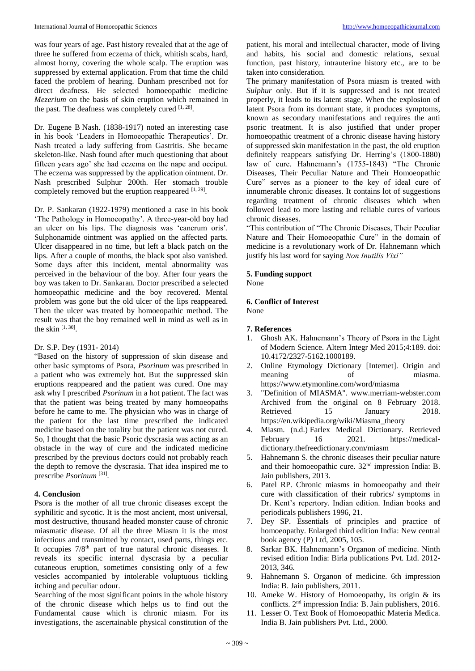was four years of age. Past history revealed that at the age of three he suffered from eczema of thick, whitish scabs, hard, almost horny, covering the whole scalp. The eruption was suppressed by external application. From that time the child faced the problem of hearing. Dunham prescribed not for direct deafness. He selected homoeopathic medicine *Mezerium* on the basis of skin eruption which remained in the past. The deafness was completely cured [1, 28].

Dr. Eugene B Nash. (1838-1917) noted an interesting case in his book 'Leaders in Homoeopathic Therapeutics'. Dr. Nash treated a lady suffering from Gastritis. She became skeleton-like. Nash found after much questioning that about fifteen years ago' she had eczema on the nape and occiput. The eczema was suppressed by the application ointment. Dr. Nash prescribed Sulphur 200th. Her stomach trouble completely removed but the eruption reappeared  $[1, 29]$ .

Dr. P. Sankaran (1922-1979) mentioned a case in his book 'The Pathology in Homoeopathy'. A three-year-old boy had an ulcer on his lips. The diagnosis was 'cancrum oris'. Sulphonamide ointment was applied on the affected parts. Ulcer disappeared in no time, but left a black patch on the lips. After a couple of months, the black spot also vanished. Some days after this incident, mental abnormality was perceived in the behaviour of the boy. After four years the boy was taken to Dr. Sankaran. Doctor prescribed a selected homoeopathic medicine and the boy recovered. Mental problem was gone but the old ulcer of the lips reappeared. Then the ulcer was treated by homoeopathic method. The result was that the boy remained well in mind as well as in the skin  $[1, 30]$ .

## Dr. S.P. Dey (1931- 2014)

"Based on the history of suppression of skin disease and other basic symptoms of Psora, *Psorinum* was prescribed in a patient who was extremely hot. But the suppressed skin eruptions reappeared and the patient was cured. One may ask why I prescribed *Psorinum* in a hot patient. The fact was that the patient was being treated by many homoeopaths before he came to me. The physician who was in charge of the patient for the last time prescribed the indicated medicine based on the totality but the patient was not cured. So, I thought that the basic Psoric dyscrasia was acting as an obstacle in the way of cure and the indicated medicine prescribed by the previous doctors could not probably reach the depth to remove the dyscrasia. That idea inspired me to prescribe *Psorinum* [31] *.*

## **4. Conclusion**

Psora is the mother of all true chronic diseases except the syphilitic and sycotic. It is the most ancient, most universal, most destructive, thousand headed monster cause of chronic miasmatic disease. Of all the three Miasm it is the most infectious and transmitted by contact, used parts, things etc. It occupies 7/8<sup>th</sup> part of true natural chronic diseases. It reveals its specific internal dyscrasia by a peculiar cutaneous eruption, sometimes consisting only of a few vesicles accompanied by intolerable voluptuous tickling itching and peculiar odour.

Searching of the most significant points in the whole history of the chronic disease which helps us to find out the Fundamental cause which is chronic miasm. For its investigations, the ascertainable physical constitution of the

patient, his moral and intellectual character, mode of living and habits, his social and domestic relations, sexual function, past history, intrauterine history etc., are to be taken into consideration.

The primary manifestation of Psora miasm is treated with *Sulphur* only. But if it is suppressed and is not treated properly, it leads to its latent stage. When the explosion of latent Psora from its dormant state, it produces symptoms, known as secondary manifestations and requires the anti psoric treatment. It is also justified that under proper homoeopathic treatment of a chronic disease having history of suppressed skin manifestation in the past, the old eruption definitely reappears satisfying Dr. Herring's (1800-1880) law of cure. Hahnemann's (1755-1843) "The Chronic Diseases, Their Peculiar Nature and Their Homoeopathic Cure" serves as a pioneer to the key of ideal cure of innumerable chronic diseases. It contains lot of suggestions regarding treatment of chronic diseases which when followed lead to more lasting and reliable cures of various chronic diseases.

"This contribution of "The Chronic Diseases, Their Peculiar Nature and Their Homoeopathic Cure" in the domain of medicine is a revolutionary work of Dr. Hahnemann which justify his last word for saying *Non Inutilis Vixi"*

## **5. Funding support**

None

#### **6. Conflict of Interest**  None

## **7. References**

- 1. Ghosh AK. Hahnemann's Theory of Psora in the Light of Modern Science. Altern Integr Med 2015;4:189. doi: 10.4172/2327-5162.1000189.
- 2. Online Etymology Dictionary [Internet]. Origin and meaning of miasma. https://www.etymonline.com/word/miasma
- 3. "Definition of MIASMA". www.merriam-webster.com Archived from the original on 8 February 2018. Retrieved 15 January 2018. https://en.wikipedia.org/wiki/Miasma\_theory
- 4. Miasm. (n.d.) Farlex Medical Dictionary. Retrieved February 16 2021. https://medicaldictionary.thefreedictionary.com/miasm
- 5. Hahnemann S. the chronic diseases their peculiar nature and their homoeopathic cure. 32nd impression India: B. Jain publishers, 2013.
- 6. Patel RP. Chronic miasms in homoeopathy and their cure with classification of their rubrics/ symptoms in Dr. Kent's repertory. Indian edition. Indian books and periodicals publishers 1996, 21.
- 7. Dey SP. Essentials of principles and practice of homoeopathy. Enlarged third edition India: New central book agency (P) Ltd, 2005, 105.
- 8. Sarkar BK. Hahnemann's Organon of medicine. Ninth revised edition India: Birla publications Pvt. Ltd. 2012- 2013, 346.
- 9. Hahnemann S. Organon of medicine. 6th impression India: B. Jain publishers, 2011.
- 10. Ameke W. History of Homoeopathy, its origin & its conflicts. 2nd impression India: B. Jain publishers, 2016.
- 11. Lesser O. Text Book of Homoeopathic Materia Medica. India B. Jain publishers Pvt. Ltd., 2000.